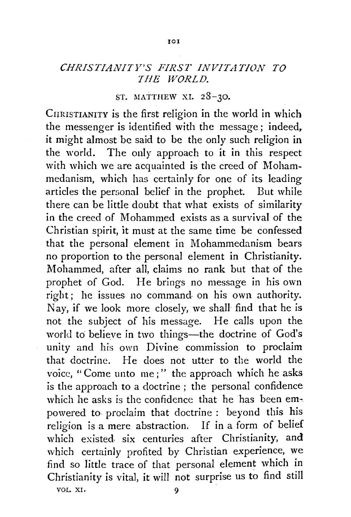## *CHRISTIANITY'S FIRST INVITATION TO THE WORLD.*

## ST. MATTHEW XI.  $28-30$ .

CHRISTIANITY is the first religion in the world in which the messenger is identified with the message; indeed, it might almost be said to be the only such religion in the world. The only approach to it in this respect with which we are acquainted is the creed of Mohammedanism, which has certainly for one of its leading articles the personal belief in the prophet. But while there can be little doubt that what exists of similarity in the creed of Mohammed exists as a survival of the Christian spirit, it must at the same time be confessed that the personal element in Mohammedanism bears no proportion to the personal element in Christianity. Mohammed, after all, claims no rank but that of the prophet of God. He brings no message in his own right; he issues no command. on his own authority. Nay, if we look more closely, we shall find that he is not the subject of his message. He calls upon the world to believe in two things-the doctrine of God's unity and his own Divine commission to proclaim that doctrine. He does not utter to the world the voice, "Come unto me;" the approach which he asks is the approach to a doctrine ; the personal confidence which he asks is the confidence that he has been empowered to proclaim that doctrine : beyond this his religion is a mere abstraction. If in a form of belief which existed, six centuries after Christianity, and which certainly profited by Christian experience, we find so little trace of that personal element which in Christianity is vital, it will not surprise us to find still VOL. XI. 9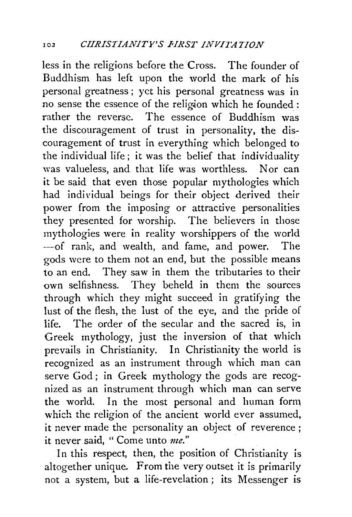less in the religions before the Cross. The founder of Buddhism has left upon the world the mark of his personal greatness ; yet his personal greatness was in no sense the essence of the religion which he founded : rather the reverse. The essence of Buddhism was the discouragement of trust in personality, the discouragement of trust in everything which belonged to the individual life; it was the belief that individuality was valueless, and that life was worthless. Nor can it be said that even those popular mythologies which had individual beings for their object derived their power from the imposing or attractive personalities they presented for worship. The believers in those mythologies were in reality worshippers of the world -of rank, and wealth, and fame, and power. The gods were to them not an end, but the possible means to an end. They saw in them the tributaries to their own selfishness. They beheld in them the sources through which they might succeed in gratifying the lust of the flesh, the lust of the eye, and the pride of life. The order of the secular and the sacred is, in Greek mythology, just the inversion of that which prevails in Christianity. In Christianity the world is recognized as an instrument through which man can serve God; in Greek mythology the gods are recognized as an instrument through which man can serve the world. In the most personal and human form which the religion of the ancient world ever assumed, it never made the personality an object of reverence ; it never said, " Come unto *me."* 

In this respect, then, the position of Christianity is altogether unique. From the very outset it is primarily not a system, but a life-revelation ; its Messenger is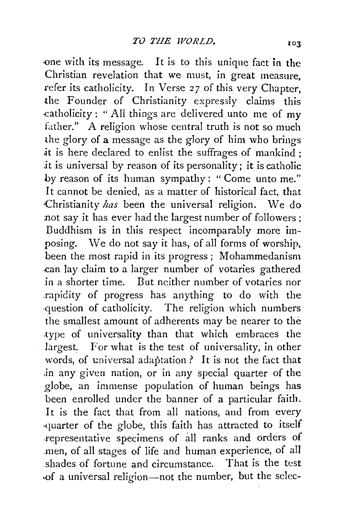.one with its message, It is to this unique fact in the Christian revelation that we must, in great measure, refer its catholicity. In Verse 27 of this very Chapter, the Founder of Christianity expressly claims this .catholicity: "All things are delivered unto me of my father." A religion whose central truth is not so much the glory of a message as the glory of him who brings it is here declared to enlist the suffrages of mankind : it is universal by reason of its personality; it is catholic by reason of its human sympathy: "Come unto *me!'*  It cannot be denied, as a matter of historical fact, that ·Christianity *has* been the universal religion. We do not say it has ever had the largest number of followers; Buddhism is in this respect incomparably more imposing. \Ve do not say it has, of all forms of worship, been the most rapid in its progress; Mohammedanism .can lay claim to a larger number of votaries gathered in a shorter time. But neither number of votaries nor .rapidity of progress has anything to do with the .question of catholicity. The religion which numbers the smallest amount of adherents may be nearer to the .type of universality than that which embraces the largest. For what is the test of universality, in other words, of universal adaptation? It is not the fact that .in any given nation, or in any special quarter of the \_globe, an immense population of human beings has been enrolled under the banner of a particular faith. It is the fact that from all nations, and from every ·quarter of the globe, this faith has attracted to itself .representative specimens of all ranks and orders of .men, of all stages of life and human experience, of all shades of fortune and circumstance. That is the test .of a universal religion-not the number, but the selec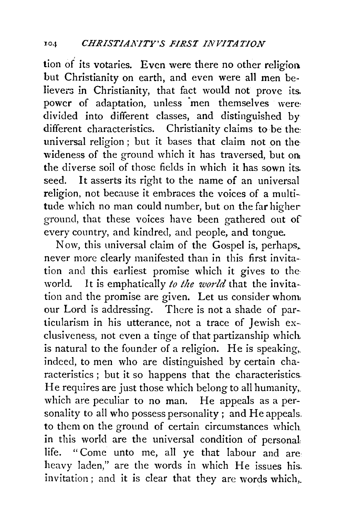tion of its votaries. Even were there no other religion. but Christianity on earth, and even were all men believers in Christianity, that fact would not prove its. power of adaptation, unless 'men themselves were· divided into different classes, and distinguished by different characteristics. Christianity claims to be the: universal religion ; hut it bases that claim not on the wideness of the ground which it has traversed, but on the diverse soil of those fields in which it has sown its. seed. It asserts its right to the name of an universal religion, not because it embraces the voices of a multitude which no man could number, but on the far higherground, that these voices have been gathered out of every country, and kindred, and people, and tongue.

Now, this universal claim of the Gospel is, perhaps. never more clearly manifested than in this first invitation and this earliest promise which it gives to the· world. It is emphatically *to the world* that the invitation and the promise are given. Let us consider whom our Lord is addressing. There is not a shade of particularism in his utterance, not a trace of Jewish exclusiveness, not even a tinge of that partizanship which. is natural to the founder of a religion. He is speaking,. indeed, to men who are distinguished by certain characteristics ; but it so happens that the characteristics. He requires are just those which belong to all humanity,. which are peculiar to no man. He appeals as a personality to all who possess personality; and He appeals. to them on the ground of certain circumstances which. in this world are the universal condition of personal life. "Come unto me, all ye that labour and are heavy laden," are the words in which He issues his. invitation; and it is clear that they are words which,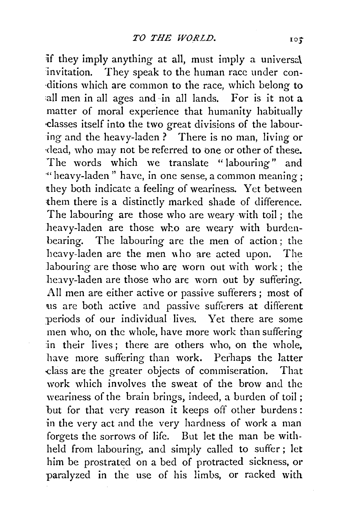if they imply anything at all, must imply a universal invitation. They speak to the human race under con- ·ditions which are common to the race, which belong to all men in all ages and in all lands. For is it not a matter of moral experience that humanity habitually ·classes itself into the two great divisions of the labouring and the heavy-laden ? There is no man, living or ·dead, who may not be referred to one or other of these. The words which we translate "labouring" and ·«heavy-laden" have, in one sense, a common meaning; they both indicate a feeling of weariness. Yet between them there is a distinctly marked shade of difference. The labouring are those who are weary with toil ; the heavy-laden are those who are weary with burdenbearing. The labouring are the men of action ; the heavy-laden are the men who are acted upon. The labouring are those who are worn out with work; the heavy-laden are those who are worn out by suffering. Ail men are either active or passive sufferers; most of us are both active and passive sufferers at different periods of our individual lives. Yet there are some men who, on the whole, have more work than suffering in their lives; there are others who, on the whole. have more suffering than work. Perhaps the latter dass are the greater objects of commiseration. That work which involves the sweat of the brow and the weariness of the brain brings, indeed, a burden of toil ; but for that very reason it keeps off other burdens : in the very act and the very hardness of work a man forgets the sorrows of life. But let the man be withheld from labouring, and simply cailed to suffer ; let him be prostrated on a bed of protracted sickness, or paralyzed in the use of his limbs, or racked with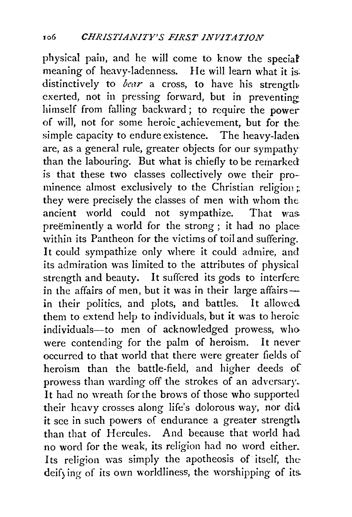physical pain, and he will come to know the speciaf' meaning of heavy-ladenness. He will learn what it is: distinctively to *bear* a cross, to have his strength exerted, not in pressing forward, but in preventing himself from falling backward; to require the power of will, not for some heroic. achievement, but for the simple capacity to endure existence. The heavy-laderi are, as a general rule, greater objects for our sympathy than the labouring. But what is chiefly to be remarked is that these two classes collectively owe their pro- minence almost exclusively to the Christian religion  $\ddot{x}$ they were precisely the classes of men with whom the ancient world could not sympathize. That was preëminently a world for the strong; it had no place within its Pantheon for the victims of toil and suffering. It could sympathize only where it could admire, and its admiration was limited to the attributes of physical strength and beauty. It suffered its gods to interfere in the affairs of men, but it was in their large affairsin their politics, and plots, and battles. It allowed them to extend help to individuals, but it was to heroic individuals-to men of acknowledged prowess, who were contending for the palm of heroism. It never occurred to that world that there were greater fields of heroism than the battle-field, and higher deeds of prowess than warding off the strokes of an adversary. It had no wreath for the brows of those who supported their heavy crosses along life's dolorous way, nor did it see in such powers of endurance a greater strength than that of Hercules. And because that world had no word for the weak, its religion had no word either. Its religion was simply the apotheosis of itself, the deifying of its own worldliness, the worshipping of its.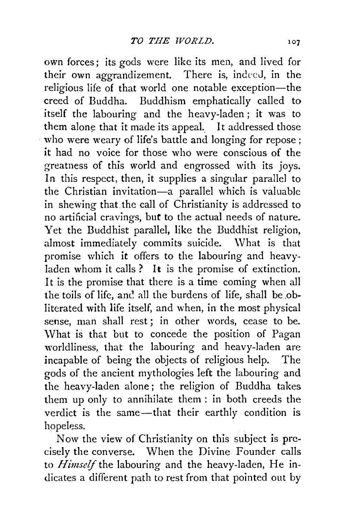own forces; its gods were like its men, and lived for their own aggrandizement. There is, indeed, in the religious life of that world one notable exception-the creed of Buddha. Buddhism emphatically called to itself the labouring and the heavy-laden ; it was to them alone that it made its appeal. It addressed those who were weary of life's battle and longing for repose; it had no voice for those who were conscious of the greatness of this world and engrossed with its joys. In this respect, then, it supplies a singular parallel to the Christian invitation-a parallel which is valuable in shewing that the call of Christianity is addressed to no artificial cravings, but to the actual needs of nature. Yet the Buddhist parallel, like the Buddhist religion, almost immediately commits suicide. What is that promise which it offers to the labouring and heavyladen whom it calls ? It is the promise of extinction. It is the promise that there is a time coming when all the toils of life, and all the burdens of life, shall be obliterated with life itself, and when, in the most physical sense, man shall rest; in other words, cease to be. What is that but to concede the position of Pagan worldliness, that the labouring and heavy-laden are incapable of being the objects of religious help. The gods of the ancient mythologies left the labouring and the heavy-laden alone; the religion of Buddha takes them up only to annihilate them : in both creeds the verdict is the same-that their earthly condition is hopeless.

Now the view of Christianity on this subject is precisely the converse. When the Divine Founder calls to *Himself* the labouring and the heavy-laden, He indicates a different path to rest from that pointed out by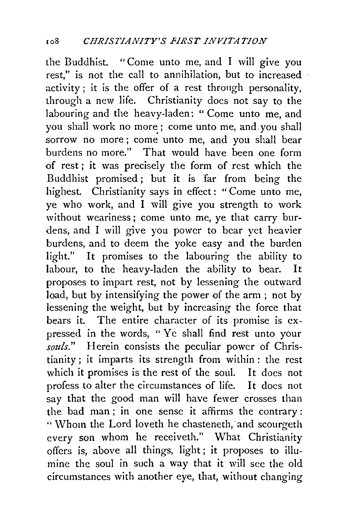the Buddhist. "Come unto me, and I will give you rest," is not the call to annihilation, but to increased activity; it is the offer of a rest through personality, through a new life. Christianity does not say to the labouring and the heavy-laden: "Come unto me, and you shall work no more; come unto me, and you shall sorrow no more; come unto me, and you shall bear burdens no more." That would have been one form of rest; it was precisely the form of rest which the Buddhist promised; but it is far from being the highest. Christianity says in effect: "Come unto me, ye who work, and I will give you strength to work without weariness ; come unto me, ye that carry burdens, and I will give you power to bear yet heavier burdens, and to deem the yoke easy and the burden light." It promises to the labouring the ability to labour, to the heavy-laden the ability to bear. It proposes to impart rest, not by lessening the outward load, but by intensifying the power of the arm ; not by lessening the weight, but by increasing the force that bears it. The entire character of its promise is expressed in the words, "Ye shall find rest unto your *souls."* Herein consists the peculiar power of Christianity; it imparts its strength from within : the rest which it promises is the rest of the soul. It does not profess to alter the circumstances of life. It does not say that the good man will have fewer crosses than the bad man ; in one sense it affirms the contrary : " Whom the Lord loveth he chasteneth, and scourgeth every son whom he receiveth." What Christianity offers is, above all things, light ; it proposes to illumine the soul in such a way that it will see the old circumstances with another eye, that, without changing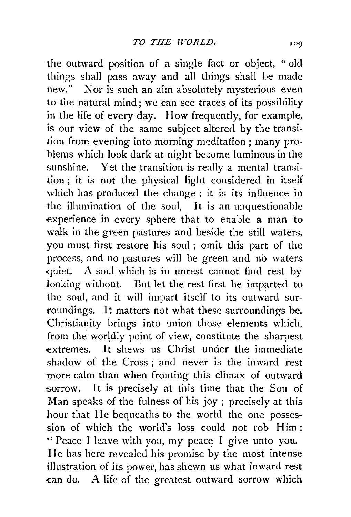the outward position of a single fact or object, "old things shall pass away and all things shall be made new." Nor is such an aim absolutely mysterious even to the natural mind; we can sec traces of its possibility in the life of every day. How frequently, for example, is our view of the same subject altered by the transition from evening into morning meditation ; many problems which look dark at night become luminous in the sunshine. Yet the transition is really a mental transition ; it is not the physical light considered in itself which has produced the change ; it is its influence in the illumination of the soul. It is an unquestionable experience in every sphere that to enable a man to walk in the green pastures and beside the still waters, you must first restore his soul ; omit this part of the process, and no pastures will be green and no waters quiet. A soul which is in unrest cannot find rest by looking without. Dut let the rest first be imparted to the soul, and it will impart itself to its outward surroundings. It matters not what these surroundings be. Christianity brings into union those elements which, from the worldly point of view, constitute the sharpest extremes. It shews us Christ under the immediate shadow of the Cross ; and never is the inward rest more calm than when fronting this climax of outward sorrow. It is precisely at this time that the Son of Man speaks of the fulness of his joy ; precisely at this hour that He bequeaths to the world the one possession of which the world's loss could not rob Him: "'Peace I leave with you, my peace I give unto you. He has here revealed his promise by the most intense illustration of its power, has shewn us what inward rest can do. A life of the greatest outward sorrow which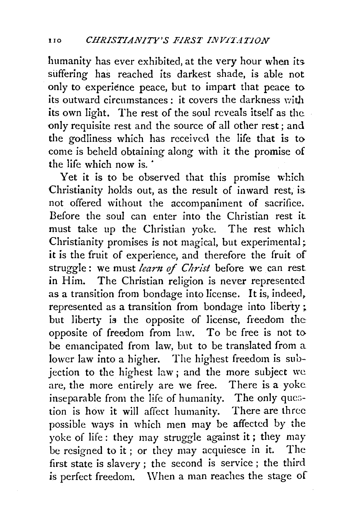humanity has ever exhibited, at the very hour when its. suffering has reached its darkest shade, is able not only to experience peace, but to impart that peace to its outward circumstances : it covers the darkness with its own light. The rest of the soul reveals itself as the only requisite rest and the source of all other rest; and the godliness which has received the life that is to come is beheld obtaining along with it the promise of the life which now is.

Yet it is to be observed that this promise which Christianity holds out, as the result of inward rest, is. not offered without the accompaniment of sacrifice. Before the soul can enter into the Christian rest it must take up the Christian yoke. The rest which Christianity promises is not magical, but experimental; it is the fruit of experience, and therefore the fruit of struggle : we must *leant* of *Christ* before we can rest in Him. The Christian religion is never represented as a transition from bondage into license. It is, indeed, represented as a transition from bondage into liberty; but liberty is the opposite of license, freedom the: opposite of freedom from law. To be free is not to be emancipated from law, but to be translated from a lower law into a higher. The highest freedom is subjection to the highest law; and the more subject we are, the more entirely are we free. There is a yoke inseparable from the life of humanity. The only question is how it will affect humanity. There are three possible ways in which men may be affected by the yoke of life: they may struggle against it; they may be resigned to it ; or they may acquiesce in it. The first state is slavery ; the second is service ; the third is perfect freedom. When a man reaches the stage of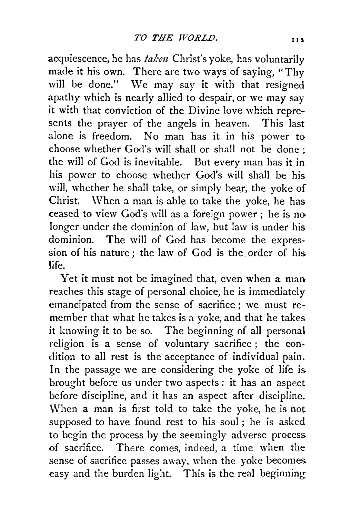acquiescence, he has *taken* Christ's yoke, has voluntarily made it his own. There are two ways of saying, "Thy will be done." We may say it with that resigned apathy which is nearly allied to despair, or we may say it with that conviction of the Divine love which represents the prayer of the angels in heaven. This last alone is freedom. No man has it in his power to choose whether God's will shall or shall not be done ; the will of God is inevitable. But every man has it in his power to choose whether God's will shall be his will, whether he shall take, or simply bear, the yoke of Christ. \V hen a man is able to take the yoke, he has ceased to view God's will as a foreign power; he is no longer under the dominion of law, but law is under his dominion. The will of God has become the expression of his nature ; the law of God is the order of his life.

Yet it must not be imagined that, even when a man reaches this stage of personal choice, he is immediately emancipated from the sense of sacrifice ; we must remember that what he takes is a yoke, and that he takes it knowing it to be so. The beginning of all personal religion is a sense of voluntary sacrifice ; the condition to all rest is the acceptance of individual pain. In the passage we are considering the yoke of life is brought before us under two aspects : it has an aspect before discipline, and it has an aspect after discipline. When a man is first told to take the yoke, he is not supposed to have found rest to his soul; he is asked to begin the process by the seemingly adverse process of sacrifice. There comes, indeed, a time when the sense of sacrifice passes away, when the yoke becomes easy and the burden light. This is the real beginning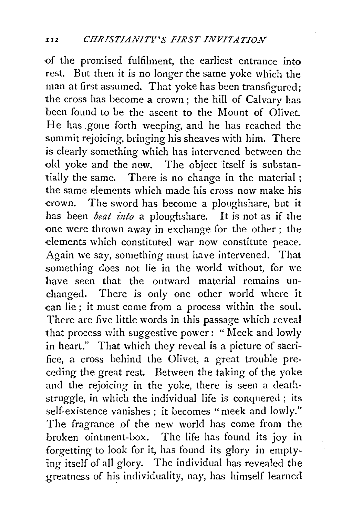-of the promised fulfilment, the earliest entrance into rest. But then it is no longer the same yoke which the man at first assumed. That yoke has been transfigured; the cross has become a crown; the hill of Calvary has been found to be the ascent to the Mount of Olivet. He has gone forth weeping, and he has reached the summit rejoicing, bringing his sheaves with him. There is clearly something which has intervened between the old yoke and the new. The object itself is substantially the same. There is no change in the material ; the same elements which made his cross now make his crown. The sword has become a ploughshare, but it has been *beat into* a ploughshare. It is not as if the one were thrown away in exchange for the other; the elements which constituted war now constitute peace. Again we say, something must have intervened. That something does not lie in the world without, for we bave seen that the outward material remains unchanged. There is only one other world where it can lie ; it must come from a process within the soul. There arc five little words in this passage which reveal that process with suggestive power: "Meek and lowly in heart." That which they reveal is a picture of sacrifice, a cross behind the Olivct, a great trouble preceding the great rest. Between the taking of the yoke and the rejoicing in the yoke, there is seen a deathstruggle, in which the individual life is conquered ; its self-existence vanishes ; it becomes "meek and lowly." The fragrance of the new world has come from the broken ointment-box. The life has found its joy in forgetting to look for it, has found its glory in emptying itself of all glory. The individual has revealed the greatness of his individuality, nay, has himself learned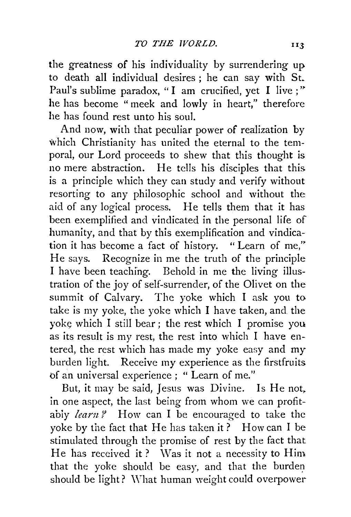the greatness of his individuality by surrendering up to death all individual desires ; he can say with St. Paul's sublime paradox, "I am crucified, yet I live ;" he has become "meek and lowly in heart," therefore he has found rest unto his soul.

And now, with that peculiar power of realization by which Christianity has united the eternal to the temporal, our Lord proceeds to shew that this thought is no mere abstraction. He tells his disciples that this. is a principle which they can study and verify without resorting to any philosophic school and without the aid of any logical process. He tells them that it has been exemplified and vindicated in the personal life of humanity, and that by this exemplification and vindication it has become a fact of history. " Learn of me," He says. Recognize in me the truth of the principle I have been teaching. Behold in me the living illustration of the joy of self-surrender, of the Olivet on the summit of Calvary. The yoke which I ask you to take is my yoke, the yoke which I have taken, and the voke which I still bear; the rest which I promise you as its result is my rest, the rest into which I have entered, the rest which has made my yoke easy and my burden light. Receive my experience as the firstfruits of an universal experience ; " Learn of me."

But, it may be said, Jesus was Divine. Is He not. in one aspect, the last being from whom we can profitabiy *learn?* How can I be encouraged to take the yoke by the fact that He has taken it? How can I be stimulated through the promise of rest by the fact that He has received it? Was it not a necessity to Him that the yoke should be easy, and that the burden should be light? \Yhat human weight could overpower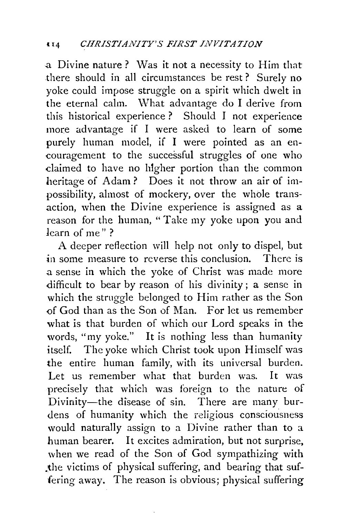a Divine nature? Was it not a necessity to Him that there should in all circumstances be rest ? Surely no yoke could impose struggle on a spirit which dwelt in the eternal calm. What advantage do I derive from this historical experience ? Should I not experience more advantage if I were asked to learn of some purely human model, if I were pointed as an encouragement to the successful struggles of one who claimed to have no higher portion than the common heritage of Adam ? Does it not throw an air of impossibility, almost of mockery, over the whole transaction, when the Divine experience is assigned as a reason for the human, "Take my yoke upon you and learn of me" ?

A deeper reflection will help not only to dispel, but in some measure to reverse this conclusion. There is a sense in which the yoke of Christ was made more difficult to bear by reason of his divinity ; a sense in which the struggle belonged to Him rather as the Son of God than as the Son of Man. For let us remember what is that burden of which our Lord speaks in the words, "my yoke." It is nothing less than humanity itself. The yoke which Christ took upon Himself was the entire human family, with its universal burden. Let us remember what that burden was. It was precisely that which was foreign to the nature of Divinity-the disease of sin. There are many burdens of humanity which the religious consciousness would naturally assign to a Divine rather than to a human bearer. It excites admiration, but not surprise, when we read of the Son of God sympathizing with ,the victims of physical suffering, and bearing that suffering away. The reason is obvious; physical suffering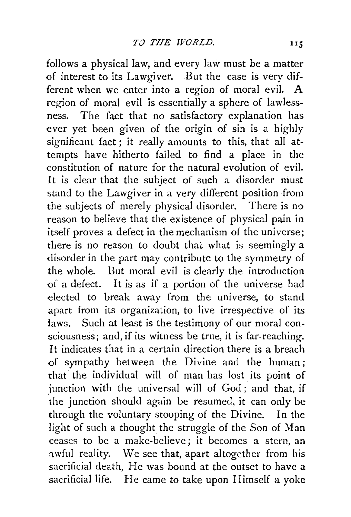follows a physical law, and every law must be a matter of interest to its Lawgiver. But the case is very different when we enter into a region of moral evil. A region of moral evil is essentially a sphere of lawlessness. The fact that no satisfactory explanation has ever yet been given of the origin of sin is a highly significant fact; it really amounts to this, that all attempts have hitherto failed to find a place in the constitution of nature for the natural evolution of evil. It is clear that the subject of such a disorder must stand to the Lawgiver in a very different position from the subjects of merely physical disorder. There is no reason to believe that the existence of physical pain in itself proves a defect in the mechanism of the universe; there is no reason to doubt that what is seemingly a disorder in the part may contribute to the symmetry of the whole. But moral evil is clearly the introduction of a defect. It is as if a portion of the universe had elected to break away from the universe, to stand apart from its organization, to live irrespective of its laws. Such at least is the testimony of our moral consciousness; and, if its witness be true, it is far-reaching. It indicates that in a certain direction there is a breach of sympathy between the Divine and the human; that the individual will of man has lost its point of junction with the universal will of God; and that, if the junction should again be resumed, it can only be through the voluntary stooping of the Divine. In the light of such a thought the struggle of the Son of Man ceases to be a make-believe; it becomes a stern, an awful reality. We see that, apart altogether from his sacrificial death, He was bound at the outset to have a sacrificial life. He came to take upon Himself a yoke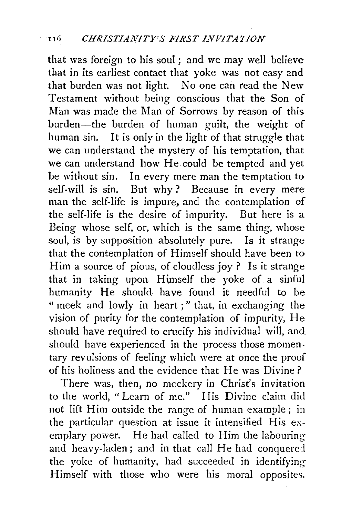that was foreign to his soul ; and we may well believe that in its earliest contact that yoke was not easy and that burden was not light. No one can read the New Testament without being conscious that .the Son of Man was made the Man of Sorrows by reason of this burden-the burden of human guilt, the weight of human sin. It is only in the light of that struggle that we can understand the mystery of his temptation, that we can understand how He could be tempted and yet be without sin. In every mere man the temptation to self-will is sin. But why? Because in every mere man the self-life is impure, and the contemplation of the self-life is the desire of impurity. But here is a Being whose self, or, which is the same thing, whose soul, is by supposition absolutely pure. Is it strange that the contemplation of Himself should have been to Him a source of pious, of cloudless joy ? Is it strange that in taking upon Himself the yoke of a sinful humanity He should have found it needful to be " meek and lowly in heart;" that, in exchanging the vision of purity for the contemplation of impurity, He should have required *to* crucify his individual will, and should have experienced in the process those momentary revulsions of feeling which were at once the proof of his holiness and the evidence that He was Divine?

There was, then, no mockery in Christ's invitation to the world, "Learn of me." His Divine claim did not lift Him outside the range of human example; in the particular question at issue it intensified His exemplary power. He had called to Him the labouring and heavy-laden; and in that call He had conquered the yoke of humanity, had succeeded in identifying Himself with those who were his moral opposites.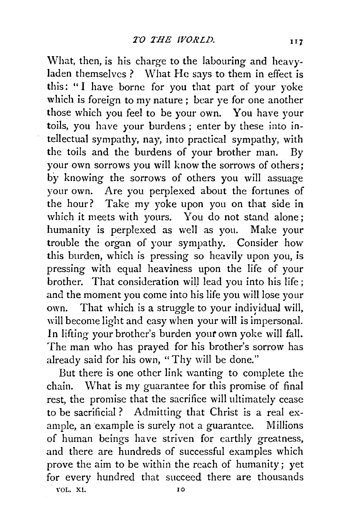What, then, is his charge to the labouring and heavyladen themselves ? What He says to them in effect is this: " I have borne for you that part of your yoke which is foreign to my nature; bear ye for one another those which you feel to be your own. You have your toils, you have your burdens ; enter by these into intellectual sympathy, nay, into practical sympathy, with the toils and the burdens of your brother man. By your own sorrows you will know the sorrows of others; by knowing the sorrows of others you will assuage your own. Are you perplexed about the fortunes of the hour? Take my yoke upon you on that side in which it meets with yours. You do not stand alone; humanity is perplexed as well as you. Make your trouble the organ of your sympathy. Consider how this burden, which is pressing so heavily upon you, is pressing with equal heaviness upon the life of your brother. That consideration will lead you into his life ; and the moment you come into his life you will lose your own. That which is a struggle to your indiyidual will, will become light and easy when your will is impersonal. In lifting your brother's burden your own yoke will fall. The man who has prayed for his brother's sorrow has already said for his own, "Thy will be done."

But there is one other link wanting to complete the chain. What is my guarantee for this promise of final rest, the promise that the sacrifice will ultimately cease to be sacrificial ? Admitting that Christ is a real example, an example is surely not a guarantee. Millions of human beings have striven for earthly greatness, and there are hundreds of successful examples which prove the aim to be within the reach of humanity; yet for every hundred that succeed there are thousands VOL. XI. IO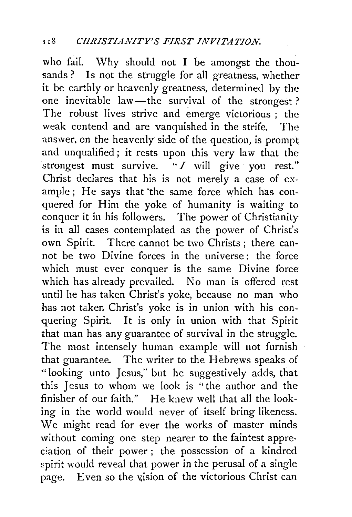who fail. Why should not I be amongst the thousands? Is not the struggle for all greatness, whether it be earthly or heavenly greatness, determined by the one inevitable law-the survival of the strongest? The robust lives strive and emerge victorious ; the weak contend and are vanquished in the strife. The answer, on the heavenly side of the question, is prompt and unqualified; it rests upon this very law that the strongest must survive. *"I* will give you rest." Christ declares that his is not merely a case of example ; He says that 'the same force which has conquered for Him the yoke of humanity is waiting to conquer it in his followers. The power of Christianity is in all cases contemplated as the power of Christ's own Spirit. There cannot be two Christs; there cannot be two Divine forces in the universe: the force which must ever conquer is the same Divine force which has already prevailed. No man is offered rest until he has taken Christ's yoke, because no man who has not taken Christ's yoke is in union with his conquering Spirit. It is only in union with that Spirit that man has any guarantee of survival in the struggle. The most intensely human example will not furnish that guarantee. The writer to the Hebrews speaks of "looking unto Jesus," but he suggestively adds, that this Jesus to whom we look is "the author and the finisher of our faith." He knew well that all the looking in the world would never of itself bring likeness. We might read for ever the works of master minds without coming one step nearer to the faintest appreciation of their power; the possession of a kindred spirit would reveal that power in the perusal of a single page. Even so the vision of the victorious Christ can